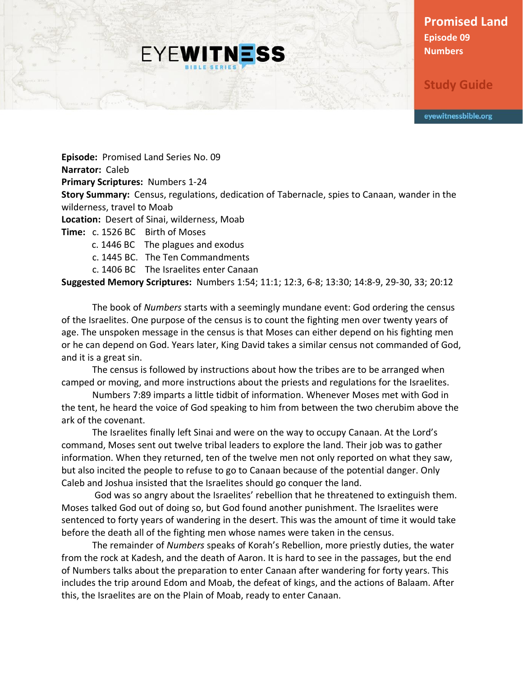**Promised Land Episode 09 Numbers**

**Study Guide**

eyewitnessbible.org

**Episode:** Promised Land Series No. 09 **Narrator:** Caleb **Primary Scriptures:** Numbers 1-24 **Story Summary:** Census, regulations, dedication of Tabernacle, spies to Canaan, wander in the wilderness, travel to Moab **Location:** Desert of Sinai, wilderness, Moab **Time:** c. 1526 BC Birth of Moses

**EYEWITNESS** 

c. 1446 BC The plagues and exodus

c. 1445 BC. The Ten Commandments

c. 1406 BC The Israelites enter Canaan

**Suggested Memory Scriptures:** Numbers 1:54; 11:1; 12:3, 6-8; 13:30; 14:8-9, 29-30, 33; 20:12

The book of *Numbers* starts with a seemingly mundane event: God ordering the census of the Israelites. One purpose of the census is to count the fighting men over twenty years of age. The unspoken message in the census is that Moses can either depend on his fighting men or he can depend on God. Years later, King David takes a similar census not commanded of God, and it is a great sin.

The census is followed by instructions about how the tribes are to be arranged when camped or moving, and more instructions about the priests and regulations for the Israelites.

Numbers 7:89 imparts a little tidbit of information. Whenever Moses met with God in the tent, he heard the voice of God speaking to him from between the two cherubim above the ark of the covenant.

The Israelites finally left Sinai and were on the way to occupy Canaan. At the Lord's command, Moses sent out twelve tribal leaders to explore the land. Their job was to gather information. When they returned, ten of the twelve men not only reported on what they saw, but also incited the people to refuse to go to Canaan because of the potential danger. Only Caleb and Joshua insisted that the Israelites should go conquer the land.

God was so angry about the Israelites' rebellion that he threatened to extinguish them. Moses talked God out of doing so, but God found another punishment. The Israelites were sentenced to forty years of wandering in the desert. This was the amount of time it would take before the death all of the fighting men whose names were taken in the census.

The remainder of *Numbers* speaks of Korah's Rebellion, more priestly duties, the water from the rock at Kadesh, and the death of Aaron. It is hard to see in the passages, but the end of Numbers talks about the preparation to enter Canaan after wandering for forty years. This includes the trip around Edom and Moab, the defeat of kings, and the actions of Balaam. After this, the Israelites are on the Plain of Moab, ready to enter Canaan.